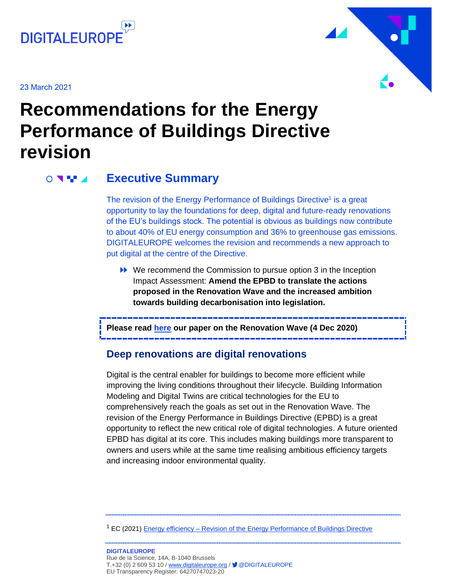

23 March 2021



## **Recommendations for the Energy Performance of Buildings Directive revision**

#### **Executive Summary**  $\circ$   $\blacksquare$

The revision of the Energy Performance of Buildings Directive<sup>1</sup> is a great opportunity to lay the foundations for deep, digital and future-ready renovations of the EU's buildings stock. The potential is obvious as buildings now contribute to about 40% of EU energy consumption and 36% to greenhouse gas emissions. DIGITALEUROPE welcomes the revision and recommends a new approach to put digital at the centre of the Directive.

▶ We recommend the Commission to pursue option 3 in the Inception Impact Assessment: **Amend the EPBD to translate the actions proposed in the Renovation Wave and the increased ambition towards building decarbonisation into legislation.**

**Please read [here](https://www.digitaleurope.org/resources/digital-building-transformations-for-europes-green-renovations-sustainable-living-and-working/) our paper on the Renovation Wave (4 Dec 2020)**

### **Deep renovations are digital renovations**

Digital is the central enabler for buildings to become more efficient while improving the living conditions throughout their lifecycle. Building Information Modeling and Digital Twins are critical technologies for the EU to comprehensively reach the goals as set out in the Renovation Wave. The revision of the Energy Performance in Buildings Directive (EPBD) is a great opportunity to reflect the new critical role of digital technologies. A future oriented EPBD has digital at its core. This includes making buildings more transparent to owners and users while at the same time realising ambitious efficiency targets and increasing indoor environmental quality.

<sup>1</sup> EC (2021) Energy efficiency – [Revision of the Energy Performance of Buildings Directive](https://ec.europa.eu/info/law/better-regulation/have-your-say/initiatives/12910-Revision-of-the-Energy-Performance-of-Buildings-Directive-2010-31-EU)

**DIGITALEUROPE**  Rue de la Science, 14A, B-1040 Brussels T.+32 (0) 2 609 53 10 / [www.digitaleurope.org](http://www.digitaleurope.org/) / ■ @DIGITALEUROPE EU Transparency Register: 64270747023-20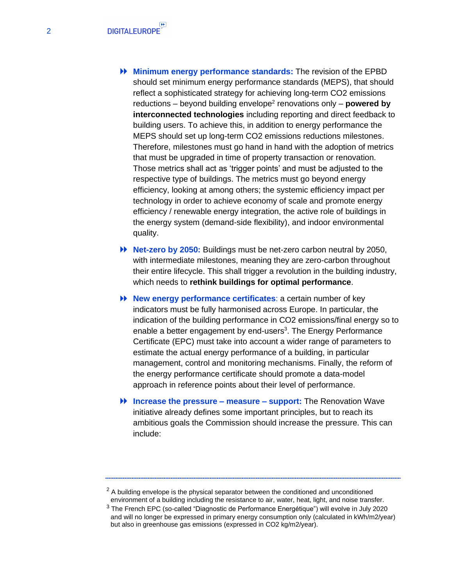- **Minimum energy performance standards:** The revision of the EPBD should set minimum energy performance standards (MEPS), that should reflect a sophisticated strategy for achieving long-term CO2 emissions reductions – beyond building envelope<sup>2</sup> renovations only – **powered by interconnected technologies** including reporting and direct feedback to building users. To achieve this, in addition to energy performance the MEPS should set up long-term CO2 emissions reductions milestones. Therefore, milestones must go hand in hand with the adoption of metrics that must be upgraded in time of property transaction or renovation. Those metrics shall act as 'trigger points' and must be adjusted to the respective type of buildings. The metrics must go beyond energy efficiency, looking at among others; the systemic efficiency impact per technology in order to achieve economy of scale and promote energy efficiency / renewable energy integration, the active role of buildings in the energy system (demand-side flexibility), and indoor environmental quality.
- **Net-zero by 2050:** Buildings must be net-zero carbon neutral by 2050, with intermediate milestones, meaning they are zero-carbon throughout their entire lifecycle. This shall trigger a revolution in the building industry, which needs to **rethink buildings for optimal performance**.
- **New energy performance certificates**: a certain number of key indicators must be fully harmonised across Europe. In particular, the indication of the building performance in CO2 emissions/final energy so to enable a better engagement by end-users<sup>3</sup>. The Energy Performance Certificate (EPC) must take into account a wider range of parameters to estimate the actual energy performance of a building, in particular management, control and monitoring mechanisms. Finally, the reform of the energy performance certificate should promote a data-model approach in reference points about their level of performance.
- **Increase the pressure – measure – support:** The Renovation Wave initiative already defines some important principles, but to reach its ambitious goals the Commission should increase the pressure. This can include:

 $2$  A building envelope is the physical separator between the conditioned and unconditioned environment of a building including the resistance to air, water, heat, light, and noise transfer.

 $3$  The French EPC (so-called "Diagnostic de Performance Energétique") will evolve in July 2020 and will no longer be expressed in primary energy consumption only (calculated in kWh/m2/year) but also in greenhouse gas emissions (expressed in CO2 kg/m2/year).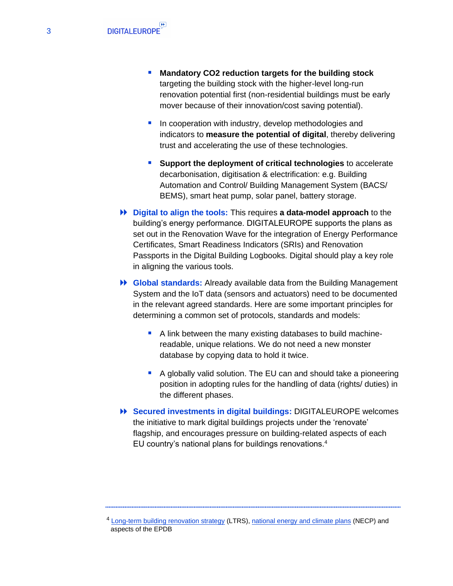- **Mandatory CO2 reduction targets for the building stock**  targeting the building stock with the higher-level long-run renovation potential first (non-residential buildings must be early mover because of their innovation/cost saving potential).
- In cooperation with industry, develop methodologies and indicators to **measure the potential of digital**, thereby delivering trust and accelerating the use of these technologies.
- **Support the deployment of critical technologies** to accelerate decarbonisation, digitisation & electrification: e.g. Building Automation and Control/ Building Management System (BACS/ BEMS), smart heat pump, solar panel, battery storage.
- **Digital to align the tools:** This requires **a data-model approach** to the building's energy performance. DIGITALEUROPE supports the plans as set out in the Renovation Wave for the integration of Energy Performance Certificates, Smart Readiness Indicators (SRIs) and Renovation Passports in the Digital Building Logbooks. Digital should play a key role in aligning the various tools.
- **Global standards:** Already available data from the Building Management System and the IoT data (sensors and actuators) need to be documented in the relevant agreed standards. Here are some important principles for determining a common set of protocols, standards and models:
	- A link between the many existing databases to build machinereadable, unique relations. We do not need a new monster database by copying data to hold it twice.
	- A globally valid solution. The EU can and should take a pioneering position in adopting rules for the handling of data (rights/ duties) in the different phases.
- **Secured investments in digital buildings:** DIGITALEUROPE welcomes the initiative to mark digital buildings projects under the 'renovate' flagship, and encourages pressure on building-related aspects of each EU country's national plans for buildings renovations.<sup>4</sup>

<sup>&</sup>lt;sup>4</sup> [Long-term building renovation strategy](https://ec.europa.eu/info/energy-climate-change-environment/implementation-eu-countries/energy-and-climate-governance-and-reporting/national-long-term-strategies_en) (LTRS), [national energy and climate plans](https://ec.europa.eu/info/energy-climate-change-environment/implementation-eu-countries/energy-and-climate-governance-and-reporting/national-energy-and-climate-plans_en) (NECP) and aspects of the EPDB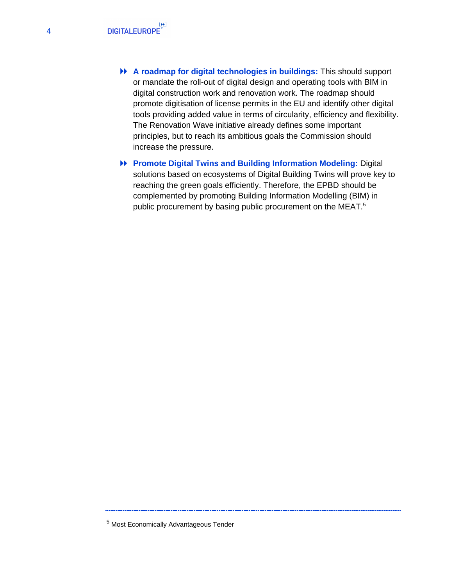- **A roadmap for digital technologies in buildings:** This should support or mandate the roll-out of digital design and operating tools with BIM in digital construction work and renovation work. The roadmap should promote digitisation of license permits in the EU and identify other digital tools providing added value in terms of circularity, efficiency and flexibility. The Renovation Wave initiative already defines some important principles, but to reach its ambitious goals the Commission should increase the pressure.
- **Promote Digital Twins and Building Information Modeling:** Digital solutions based on ecosystems of Digital Building Twins will prove key to reaching the green goals efficiently. Therefore, the EPBD should be complemented by promoting Building Information Modelling (BIM) in public procurement by basing public procurement on the MEAT.<sup>5</sup>

<sup>5</sup> Most Economically Advantageous Tender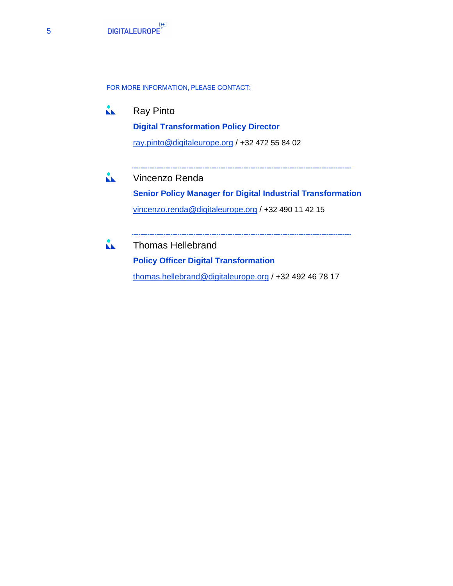

FOR MORE INFORMATION, PLEASE CONTACT:

 $\mathbf{L}$ Ray Pinto **Digital Transformation Policy Director** ray.pinto@digitaleurope.org / +32 472 55 84 02

 $\mathbf{L}$ Vincenzo Renda **Senior Policy Manager for Digital Industrial Transformation** vincenzo.renda@digitaleurope.org / +32 490 11 42 15

 $\mathbf{A}$ Thomas Hellebrand **Policy Officer Digital Transformation** thomas.hellebrand@digitaleurope.org / +32 492 46 78 17